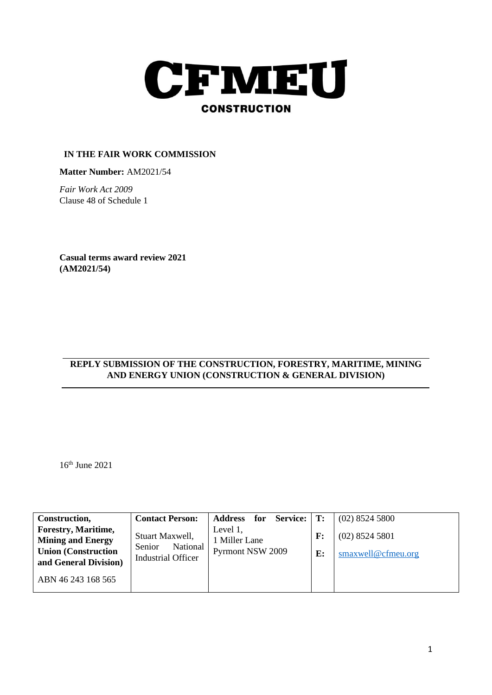

## **IN THE FAIR WORK COMMISSION**

**Matter Number:** AM2021/54

*Fair Work Act 2009* Clause 48 of Schedule 1

**Casual terms award review 2021 (AM2021/54)**

# **REPLY SUBMISSION OF THE CONSTRUCTION, FORESTRY, MARITIME, MINING AND ENERGY UNION (CONSTRUCTION & GENERAL DIVISION)**

16th June 2021

| Construction,                                          | <b>Contact Person:</b>                          | <b>Service:</b><br>Address for | T:             | $(02)$ 8524 5800   |
|--------------------------------------------------------|-------------------------------------------------|--------------------------------|----------------|--------------------|
| <b>Forestry, Maritime,</b><br><b>Mining and Energy</b> | Stuart Maxwell,                                 | Level 1,<br>1 Miller Lane      | $\mathbf{F}$ : | $(02)$ 8524 5801   |
| <b>Union (Construction)</b><br>and General Division)   | National<br>Senior<br><b>Industrial Officer</b> | <b>Pyrmont NSW 2009</b>        | $\mathbf{E}$ : | smaxwell@cfmeu.org |
| ABN 46 243 168 565                                     |                                                 |                                |                |                    |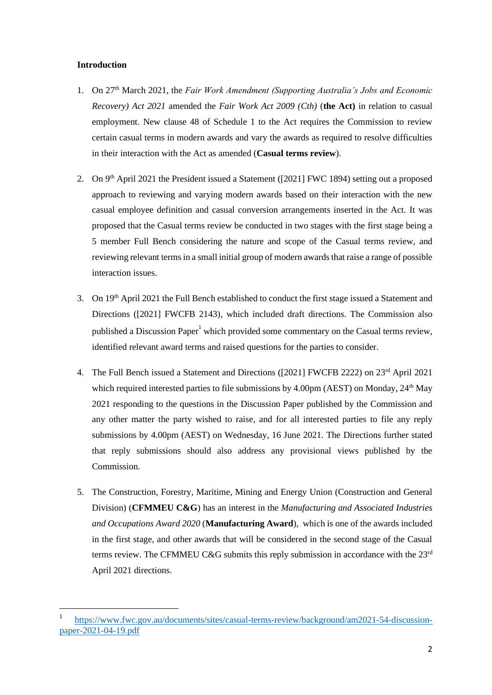#### **Introduction**

- 1. On 27th March 2021, the *Fair Work Amendment (Supporting Australia's Jobs and Economic Recovery) Act 2021* amended the *Fair Work Act 2009 (Cth)* (**the Act)** in relation to casual employment. New clause 48 of Schedule 1 to the Act requires the Commission to review certain casual terms in modern awards and vary the awards as required to resolve difficulties in their interaction with the Act as amended (**Casual terms review**).
- 2. On 9<sup>th</sup> April 2021 the President issued a Statement ([2021] FWC 1894) setting out a proposed approach to reviewing and varying modern awards based on their interaction with the new casual employee definition and casual conversion arrangements inserted in the Act. It was proposed that the Casual terms review be conducted in two stages with the first stage being a 5 member Full Bench considering the nature and scope of the Casual terms review, and reviewing relevant terms in a small initial group of modern awards that raise a range of possible interaction issues.
- 3. On 19th April 2021 the Full Bench established to conduct the first stage issued a Statement and Directions ([2021] FWCFB 2143), which included draft directions. The Commission also published a Discussion Paper<sup>1</sup> which provided some commentary on the Casual terms review, identified relevant award terms and raised questions for the parties to consider.
- 4. The Full Bench issued a Statement and Directions ([2021] FWCFB 2222) on 23rd April 2021 which required interested parties to file submissions by 4.00pm (AEST) on Monday, 24<sup>th</sup> May 2021 responding to the questions in the Discussion Paper published by the Commission and any other matter the party wished to raise, and for all interested parties to file any reply submissions by 4.00pm (AEST) on Wednesday, 16 June 2021. The Directions further stated that reply submissions should also address any provisional views published by the Commission.
- 5. The Construction, Forestry, Maritime, Mining and Energy Union (Construction and General Division) (**CFMMEU C&G**) has an interest in the *Manufacturing and Associated Industries and Occupations Award 2020* (**Manufacturing Award**), which is one of the awards included in the first stage, and other awards that will be considered in the second stage of the Casual terms review. The CFMMEU C&G submits this reply submission in accordance with the 23<sup>rd</sup> April 2021 directions.

<sup>1</sup> [https://www.fwc.gov.au/documents/sites/casual-terms-review/background/am2021-54-discussion](https://www.fwc.gov.au/documents/sites/casual-terms-review/background/am2021-54-discussion-paper-2021-04-19.pdf)[paper-2021-04-19.pdf](https://www.fwc.gov.au/documents/sites/casual-terms-review/background/am2021-54-discussion-paper-2021-04-19.pdf)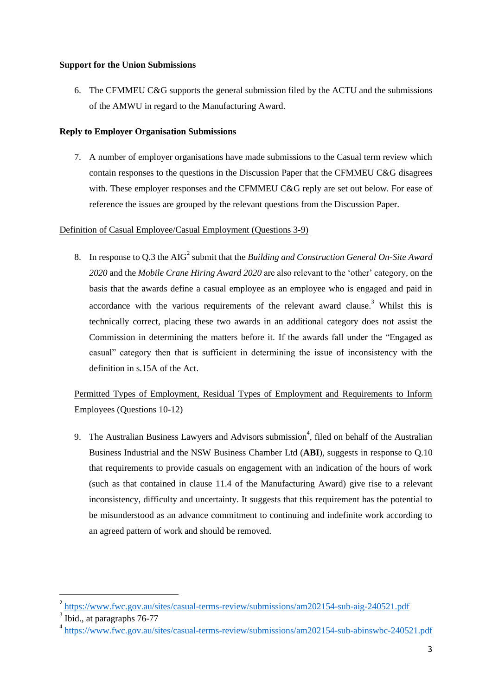### **Support for the Union Submissions**

6. The CFMMEU C&G supports the general submission filed by the ACTU and the submissions of the AMWU in regard to the Manufacturing Award.

### **Reply to Employer Organisation Submissions**

7. A number of employer organisations have made submissions to the Casual term review which contain responses to the questions in the Discussion Paper that the CFMMEU C&G disagrees with. These employer responses and the CFMMEU C&G reply are set out below. For ease of reference the issues are grouped by the relevant questions from the Discussion Paper.

# Definition of Casual Employee/Casual Employment (Questions 3-9)

8. In response to Q.3 the AIG<sup>2</sup> submit that the *Building and Construction General On-Site Award 2020* and the *Mobile Crane Hiring Award 2020* are also relevant to the 'other' category, on the basis that the awards define a casual employee as an employee who is engaged and paid in accordance with the various requirements of the relevant award clause.<sup>3</sup> Whilst this is technically correct, placing these two awards in an additional category does not assist the Commission in determining the matters before it. If the awards fall under the "Engaged as casual" category then that is sufficient in determining the issue of inconsistency with the definition in s.15A of the Act.

# Permitted Types of Employment, Residual Types of Employment and Requirements to Inform Employees (Questions 10-12)

9. The Australian Business Lawyers and Advisors submission<sup>4</sup>, filed on behalf of the Australian Business Industrial and the NSW Business Chamber Ltd (**ABI**), suggests in response to Q.10 that requirements to provide casuals on engagement with an indication of the hours of work (such as that contained in clause 11.4 of the Manufacturing Award) give rise to a relevant inconsistency, difficulty and uncertainty. It suggests that this requirement has the potential to be misunderstood as an advance commitment to continuing and indefinite work according to an agreed pattern of work and should be removed.

<sup>2</sup> <https://www.fwc.gov.au/sites/casual-terms-review/submissions/am202154-sub-aig-240521.pdf>

 $3$  Ibid., at paragraphs 76-77

<sup>&</sup>lt;sup>4</sup> <https://www.fwc.gov.au/sites/casual-terms-review/submissions/am202154-sub-abinswbc-240521.pdf>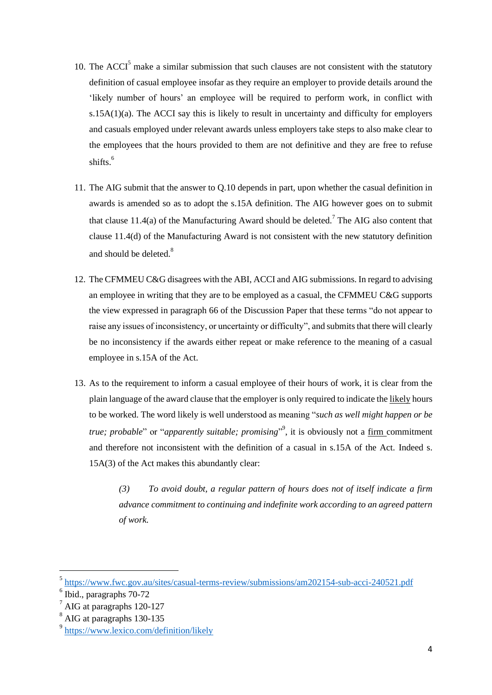- 10. The  $ACCI<sup>5</sup>$  make a similar submission that such clauses are not consistent with the statutory definition of casual employee insofar as they require an employer to provide details around the 'likely number of hours' an employee will be required to perform work, in conflict with s.15A( $1$ )(a). The ACCI say this is likely to result in uncertainty and difficulty for employers and casuals employed under relevant awards unless employers take steps to also make clear to the employees that the hours provided to them are not definitive and they are free to refuse shifts. 6
- 11. The AIG submit that the answer to Q.10 depends in part, upon whether the casual definition in awards is amended so as to adopt the s.15A definition. The AIG however goes on to submit that clause 11.4(a) of the Manufacturing Award should be deleted.<sup>7</sup> The AIG also content that clause 11.4(d) of the Manufacturing Award is not consistent with the new statutory definition and should be deleted.<sup>8</sup>
- 12. The CFMMEU C&G disagrees with the ABI, ACCI and AIG submissions. In regard to advising an employee in writing that they are to be employed as a casual, the CFMMEU C&G supports the view expressed in paragraph 66 of the Discussion Paper that these terms "do not appear to raise any issues of inconsistency, or uncertainty or difficulty", and submits that there will clearly be no inconsistency if the awards either repeat or make reference to the meaning of a casual employee in s.15A of the Act.
- 13. As to the requirement to inform a casual employee of their hours of work, it is clear from the plain language of the award clause that the employer is only required to indicate the likely hours to be worked. The word likely is well understood as meaning "*such as well might happen or be true; probable*" or "*apparently suitable; promising*" 9 , it is obviously not a firm commitment and therefore not inconsistent with the definition of a casual in s.15A of the Act. Indeed s. 15A(3) of the Act makes this abundantly clear:

*(3) To avoid doubt, a regular pattern of hours does not of itself indicate a firm advance commitment to continuing and indefinite work according to an agreed pattern of work.*

<sup>5</sup> <https://www.fwc.gov.au/sites/casual-terms-review/submissions/am202154-sub-acci-240521.pdf>

<sup>6</sup> Ibid., paragraphs 70-72

<sup>&</sup>lt;sup>7</sup> AIG at paragraphs 120-127

<sup>8</sup> AIG at paragraphs 130-135

<sup>&</sup>lt;sup>9</sup> https://www.lexico.com/definition/likely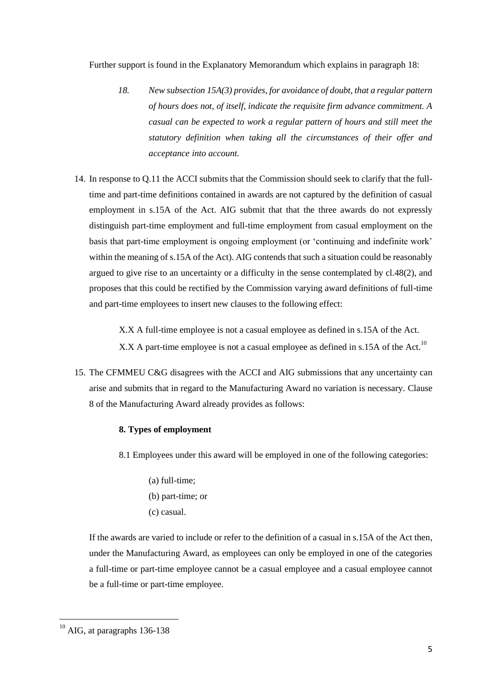Further support is found in the Explanatory Memorandum which explains in paragraph 18:

- *18. New subsection 15A(3) provides, for avoidance of doubt, that a regular pattern of hours does not, of itself, indicate the requisite firm advance commitment. A casual can be expected to work a regular pattern of hours and still meet the statutory definition when taking all the circumstances of their offer and acceptance into account.*
- 14. In response to Q.11 the ACCI submits that the Commission should seek to clarify that the fulltime and part-time definitions contained in awards are not captured by the definition of casual employment in s.15A of the Act. AIG submit that that the three awards do not expressly distinguish part-time employment and full-time employment from casual employment on the basis that part-time employment is ongoing employment (or 'continuing and indefinite work' within the meaning of s.15A of the Act). AIG contends that such a situation could be reasonably argued to give rise to an uncertainty or a difficulty in the sense contemplated by cl.48(2), and proposes that this could be rectified by the Commission varying award definitions of full-time and part-time employees to insert new clauses to the following effect:

X.X A full-time employee is not a casual employee as defined in s.15A of the Act. X.X A part-time employee is not a casual employee as defined in s.15A of the Act.<sup>10</sup>

15. The CFMMEU C&G disagrees with the ACCI and AIG submissions that any uncertainty can arise and submits that in regard to the Manufacturing Award no variation is necessary. Clause 8 of the Manufacturing Award already provides as follows:

#### **8. Types of employment**

8.1 Employees under this award will be employed in one of the following categories:

- (a) full-time;
- (b) part-time; or
- (c) casual.

If the awards are varied to include or refer to the definition of a casual in s.15A of the Act then, under the Manufacturing Award, as employees can only be employed in one of the categories a full-time or part-time employee cannot be a casual employee and a casual employee cannot be a full-time or part-time employee.

 $10$  AIG, at paragraphs 136-138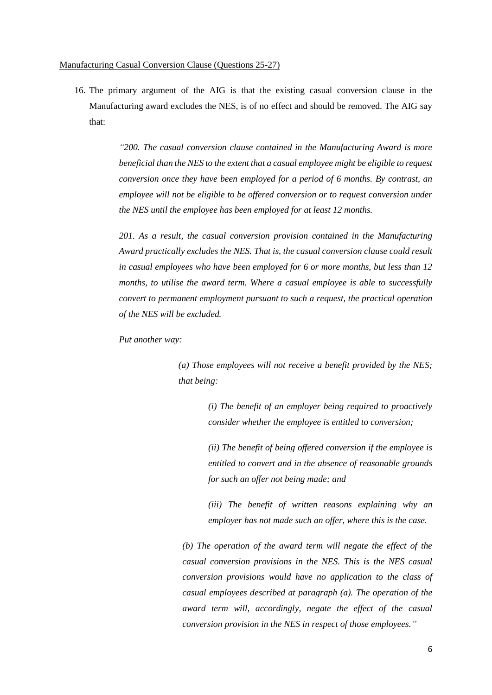#### Manufacturing Casual Conversion Clause (Questions 25-27)

16. The primary argument of the AIG is that the existing casual conversion clause in the Manufacturing award excludes the NES, is of no effect and should be removed. The AIG say that:

> *"200. The casual conversion clause contained in the Manufacturing Award is more beneficial than the NES to the extent that a casual employee might be eligible to request conversion once they have been employed for a period of 6 months. By contrast, an employee will not be eligible to be offered conversion or to request conversion under the NES until the employee has been employed for at least 12 months.*

> *201. As a result, the casual conversion provision contained in the Manufacturing Award practically excludes the NES. That is, the casual conversion clause could result in casual employees who have been employed for 6 or more months, but less than 12 months, to utilise the award term. Where a casual employee is able to successfully convert to permanent employment pursuant to such a request, the practical operation of the NES will be excluded.*

*Put another way:* 

*(a) Those employees will not receive a benefit provided by the NES; that being:* 

> *(i) The benefit of an employer being required to proactively consider whether the employee is entitled to conversion;*

> *(ii) The benefit of being offered conversion if the employee is entitled to convert and in the absence of reasonable grounds for such an offer not being made; and*

> *(iii) The benefit of written reasons explaining why an employer has not made such an offer, where this is the case.*

*(b) The operation of the award term will negate the effect of the casual conversion provisions in the NES. This is the NES casual conversion provisions would have no application to the class of casual employees described at paragraph (a). The operation of the award term will, accordingly, negate the effect of the casual conversion provision in the NES in respect of those employees."*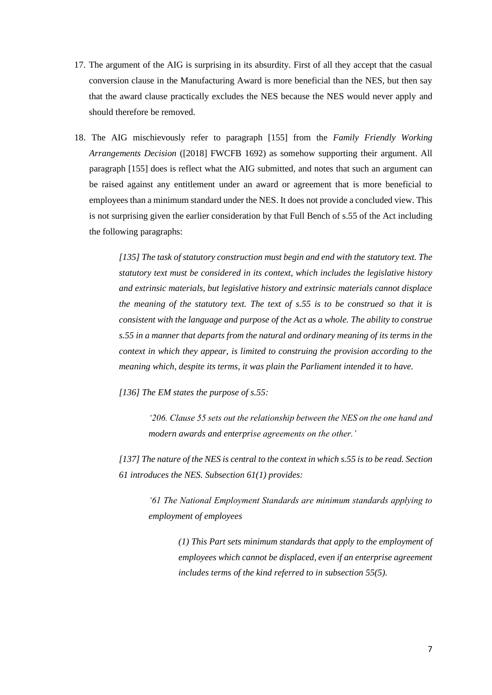- 17. The argument of the AIG is surprising in its absurdity. First of all they accept that the casual conversion clause in the Manufacturing Award is more beneficial than the NES, but then say that the award clause practically excludes the NES because the NES would never apply and should therefore be removed.
- 18. The AIG mischievously refer to paragraph [155] from the *Family Friendly Working Arrangements Decision* ([2018] FWCFB 1692) as somehow supporting their argument. All paragraph [155] does is reflect what the AIG submitted, and notes that such an argument can be raised against any entitlement under an award or agreement that is more beneficial to employees than a minimum standard under the NES. It does not provide a concluded view. This is not surprising given the earlier consideration by that Full Bench of s.55 of the Act including the following paragraphs:

*[135] The task of statutory construction must begin and end with the statutory text. The statutory text must be considered in its context, which includes the legislative history and extrinsic materials, but legislative history and extrinsic materials cannot displace the meaning of the statutory text. The text of s.55 is to be construed so that it is consistent with the language and purpose of the Act as a whole. The ability to construe s.55 in a manner that departs from the natural and ordinary meaning of its terms in the context in which they appear, is limited to construing the provision according to the meaning which, despite its terms, it was plain the Parliament intended it to have.*

*[136] The EM states the purpose of s.55:*

*'206. Clause 55 sets out the relationship between the NES on the one hand and modern awards and enterprise agreements on the other.'* 

*[137] The nature of the NES is central to the context in which s.55 is to be read. Section 61 introduces the NES. Subsection 61(1) provides:*

*'61 The National Employment Standards are minimum standards applying to employment of employees*

> *(1) This Part sets minimum standards that apply to the employment of employees which cannot be displaced, even if an enterprise agreement includes terms of the kind referred to in subsection 55(5).*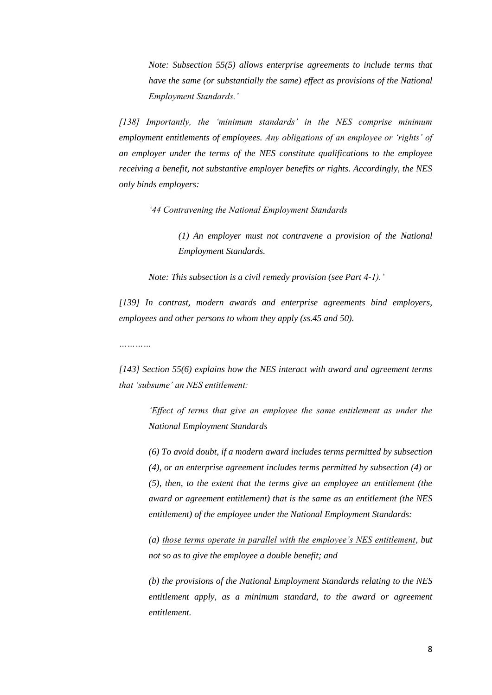*Note: Subsection 55(5) allows enterprise agreements to include terms that have the same (or substantially the same) effect as provisions of the National Employment Standards.'*

*[138] Importantly, the 'minimum standards' in the NES comprise minimum employment entitlements of employees. Any obligations of an employee or 'rights' of an employer under the terms of the NES constitute qualifications to the employee receiving a benefit, not substantive employer benefits or rights. Accordingly, the NES only binds employers:*

*'44 Contravening the National Employment Standards*

*(1) An employer must not contravene a provision of the National Employment Standards.*

*Note: This subsection is a civil remedy provision (see Part 4-1).'*

*[139] In contrast, modern awards and enterprise agreements bind employers, employees and other persons to whom they apply (ss.45 and 50).*

*…………*

*[143] Section 55(6) explains how the NES interact with award and agreement terms that 'subsume' an NES entitlement:*

*'Effect of terms that give an employee the same entitlement as under the National Employment Standards*

*(6) To avoid doubt, if a modern award includes terms permitted by subsection (4), or an enterprise agreement includes terms permitted by subsection (4) or (5), then, to the extent that the terms give an employee an entitlement (the award or agreement entitlement) that is the same as an entitlement (the NES entitlement) of the employee under the National Employment Standards:*

*(a) those terms operate in parallel with the employee's NES entitlement, but not so as to give the employee a double benefit; and*

*(b) the provisions of the National Employment Standards relating to the NES entitlement apply, as a minimum standard, to the award or agreement entitlement.*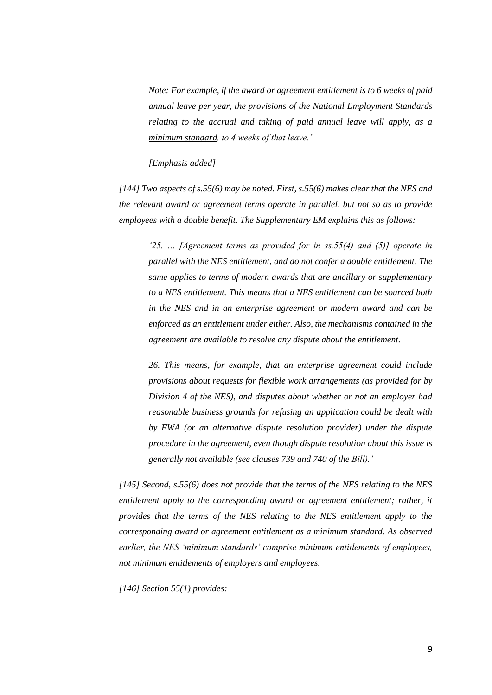*Note: For example, if the award or agreement entitlement is to 6 weeks of paid annual leave per year, the provisions of the National Employment Standards relating to the accrual and taking of paid annual leave will apply, as a minimum standard, to 4 weeks of that leave.'*

#### *[Emphasis added]*

*[144] Two aspects of s.55(6) may be noted. First, s.55(6) makes clear that the NES and the relevant award or agreement terms operate in parallel, but not so as to provide employees with a double benefit. The Supplementary EM explains this as follows:*

*'25. … [Agreement terms as provided for in ss.55(4) and (5)] operate in parallel with the NES entitlement, and do not confer a double entitlement. The same applies to terms of modern awards that are ancillary or supplementary to a NES entitlement. This means that a NES entitlement can be sourced both in the NES and in an enterprise agreement or modern award and can be enforced as an entitlement under either. Also, the mechanisms contained in the agreement are available to resolve any dispute about the entitlement.*

*26. This means, for example, that an enterprise agreement could include provisions about requests for flexible work arrangements (as provided for by Division 4 of the NES), and disputes about whether or not an employer had reasonable business grounds for refusing an application could be dealt with by FWA (or an alternative dispute resolution provider) under the dispute procedure in the agreement, even though dispute resolution about this issue is generally not available (see clauses 739 and 740 of the Bill).'*

*[145] Second, s.55(6) does not provide that the terms of the NES relating to the NES*  entitlement apply to the corresponding award or agreement entitlement; rather, it *provides that the terms of the NES relating to the NES entitlement apply to the corresponding award or agreement entitlement as a minimum standard. As observed earlier, the NES 'minimum standards' comprise minimum entitlements of employees, not minimum entitlements of employers and employees.*

*[146] Section 55(1) provides:*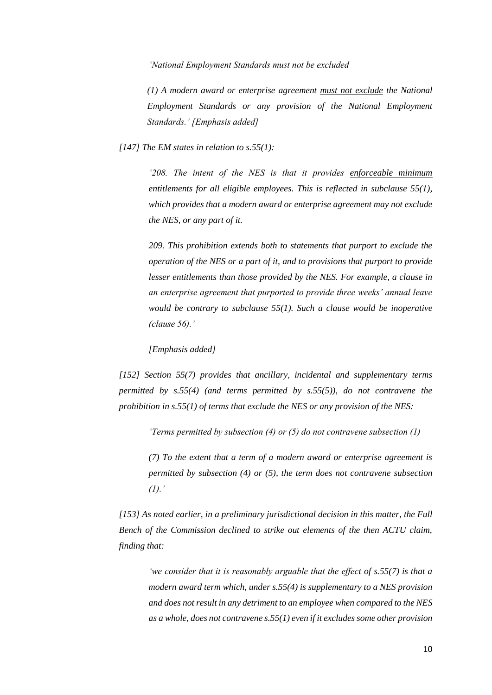*'National Employment Standards must not be excluded*

*(1) A modern award or enterprise agreement must not exclude the National Employment Standards or any provision of the National Employment Standards.' [Emphasis added]*

*[147] The EM states in relation to s.55(1):*

*'208. The intent of the NES is that it provides enforceable minimum entitlements for all eligible employees. This is reflected in subclause 55(1), which provides that a modern award or enterprise agreement may not exclude the NES, or any part of it.*

*209. This prohibition extends both to statements that purport to exclude the operation of the NES or a part of it, and to provisions that purport to provide lesser entitlements than those provided by the NES. For example, a clause in an enterprise agreement that purported to provide three weeks' annual leave would be contrary to subclause 55(1). Such a clause would be inoperative (clause 56).'* 

*[Emphasis added]*

*[152] Section 55(7) provides that ancillary, incidental and supplementary terms permitted by s.55(4) (and terms permitted by s.55(5)), do not contravene the prohibition in s.55(1) of terms that exclude the NES or any provision of the NES:*

*'Terms permitted by subsection (4) or (5) do not contravene subsection (1)*

*(7) To the extent that a term of a modern award or enterprise agreement is permitted by subsection (4) or (5), the term does not contravene subsection (1).'*

*[153] As noted earlier, in a preliminary jurisdictional decision in this matter, the Full Bench of the Commission declined to strike out elements of the then ACTU claim, finding that:*

*'we consider that it is reasonably arguable that the effect of s.55(7) is that a modern award term which, under s.55(4) is supplementary to a NES provision and does not result in any detriment to an employee when compared to the NES as a whole, does not contravene s.55(1) even if it excludes some other provision*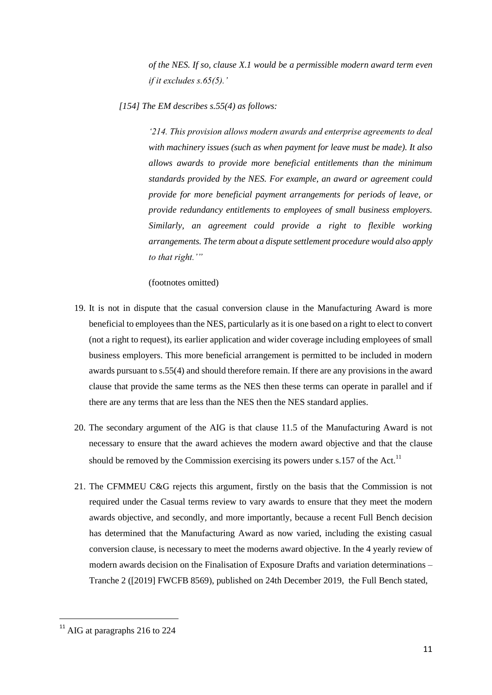*of the NES. If so, clause X.1 would be a permissible modern award term even if it excludes s.65(5).'*

*[154] The EM describes s.55(4) as follows:*

*'214. This provision allows modern awards and enterprise agreements to deal with machinery issues (such as when payment for leave must be made). It also allows awards to provide more beneficial entitlements than the minimum standards provided by the NES. For example, an award or agreement could provide for more beneficial payment arrangements for periods of leave, or provide redundancy entitlements to employees of small business employers. Similarly, an agreement could provide a right to flexible working arrangements. The term about a dispute settlement procedure would also apply to that right.'"*

(footnotes omitted)

- 19. It is not in dispute that the casual conversion clause in the Manufacturing Award is more beneficial to employees than the NES, particularly as it is one based on a right to elect to convert (not a right to request), its earlier application and wider coverage including employees of small business employers. This more beneficial arrangement is permitted to be included in modern awards pursuant to s.55(4) and should therefore remain. If there are any provisions in the award clause that provide the same terms as the NES then these terms can operate in parallel and if there are any terms that are less than the NES then the NES standard applies.
- 20. The secondary argument of the AIG is that clause 11.5 of the Manufacturing Award is not necessary to ensure that the award achieves the modern award objective and that the clause should be removed by the Commission exercising its powers under s.157 of the Act.<sup>11</sup>
- 21. The CFMMEU C&G rejects this argument, firstly on the basis that the Commission is not required under the Casual terms review to vary awards to ensure that they meet the modern awards objective, and secondly, and more importantly, because a recent Full Bench decision has determined that the Manufacturing Award as now varied, including the existing casual conversion clause, is necessary to meet the moderns award objective. In the 4 yearly review of modern awards decision on the Finalisation of Exposure Drafts and variation determinations – Tranche 2 ([2019] FWCFB 8569), published on 24th December 2019, the Full Bench stated,

 $11$  AIG at paragraphs 216 to 224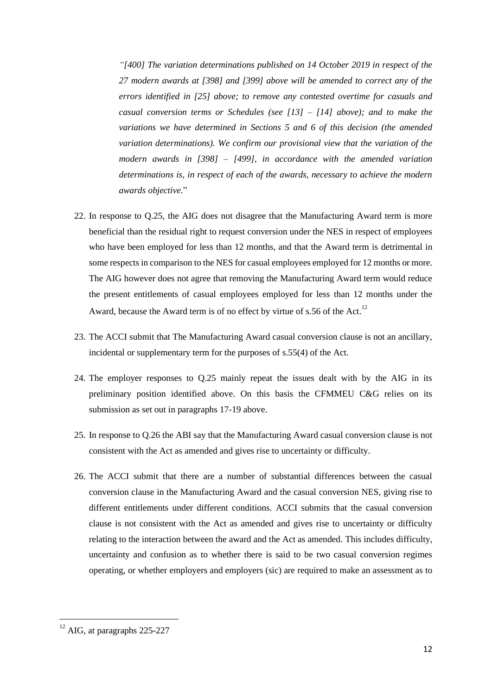*"[400] The variation determinations published on 14 October 2019 in respect of the 27 modern awards at [398] and [399] above will be amended to correct any of the errors identified in [25] above; to remove any contested overtime for casuals and casual conversion terms or Schedules (see [13] – [14] above); and to make the variations we have determined in Sections 5 and 6 of this decision (the amended variation determinations). We confirm our provisional view that the variation of the modern awards in [398] – [499], in accordance with the amended variation determinations is, in respect of each of the awards, necessary to achieve the modern awards objective.*"

- 22. In response to Q.25, the AIG does not disagree that the Manufacturing Award term is more beneficial than the residual right to request conversion under the NES in respect of employees who have been employed for less than 12 months, and that the Award term is detrimental in some respects in comparison to the NES for casual employees employed for 12 months or more. The AIG however does not agree that removing the Manufacturing Award term would reduce the present entitlements of casual employees employed for less than 12 months under the Award, because the Award term is of no effect by virtue of s.56 of the Act.<sup>12</sup>
- 23. The ACCI submit that The Manufacturing Award casual conversion clause is not an ancillary, incidental or supplementary term for the purposes of s.55(4) of the Act.
- 24. The employer responses to Q.25 mainly repeat the issues dealt with by the AIG in its preliminary position identified above. On this basis the CFMMEU C&G relies on its submission as set out in paragraphs 17-19 above.
- 25. In response to Q.26 the ABI say that the Manufacturing Award casual conversion clause is not consistent with the Act as amended and gives rise to uncertainty or difficulty.
- 26. The ACCI submit that there are a number of substantial differences between the casual conversion clause in the Manufacturing Award and the casual conversion NES, giving rise to different entitlements under different conditions. ACCI submits that the casual conversion clause is not consistent with the Act as amended and gives rise to uncertainty or difficulty relating to the interaction between the award and the Act as amended. This includes difficulty, uncertainty and confusion as to whether there is said to be two casual conversion regimes operating, or whether employers and employers (sic) are required to make an assessment as to

<sup>&</sup>lt;sup>12</sup> AIG, at paragraphs 225-227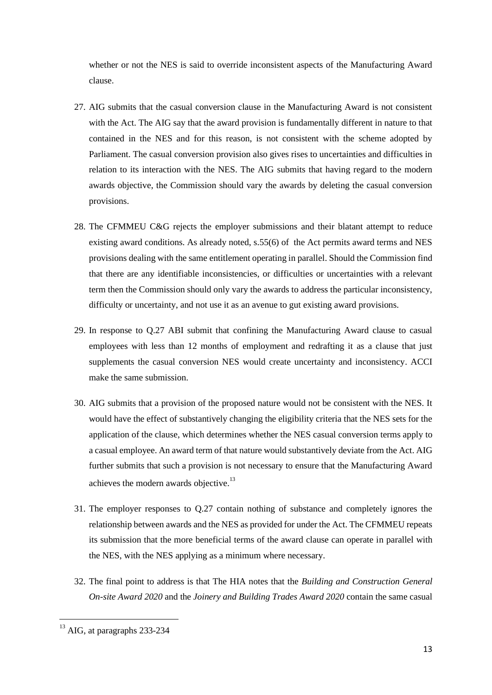whether or not the NES is said to override inconsistent aspects of the Manufacturing Award clause.

- 27. AIG submits that the casual conversion clause in the Manufacturing Award is not consistent with the Act. The AIG say that the award provision is fundamentally different in nature to that contained in the NES and for this reason, is not consistent with the scheme adopted by Parliament. The casual conversion provision also gives rises to uncertainties and difficulties in relation to its interaction with the NES. The AIG submits that having regard to the modern awards objective, the Commission should vary the awards by deleting the casual conversion provisions.
- 28. The CFMMEU C&G rejects the employer submissions and their blatant attempt to reduce existing award conditions. As already noted, s.55(6) of the Act permits award terms and NES provisions dealing with the same entitlement operating in parallel. Should the Commission find that there are any identifiable inconsistencies, or difficulties or uncertainties with a relevant term then the Commission should only vary the awards to address the particular inconsistency, difficulty or uncertainty, and not use it as an avenue to gut existing award provisions.
- 29. In response to Q.27 ABI submit that confining the Manufacturing Award clause to casual employees with less than 12 months of employment and redrafting it as a clause that just supplements the casual conversion NES would create uncertainty and inconsistency. ACCI make the same submission.
- 30. AIG submits that a provision of the proposed nature would not be consistent with the NES. It would have the effect of substantively changing the eligibility criteria that the NES sets for the application of the clause, which determines whether the NES casual conversion terms apply to a casual employee. An award term of that nature would substantively deviate from the Act. AIG further submits that such a provision is not necessary to ensure that the Manufacturing Award achieves the modern awards objective.<sup>13</sup>
- 31. The employer responses to Q.27 contain nothing of substance and completely ignores the relationship between awards and the NES as provided for under the Act. The CFMMEU repeats its submission that the more beneficial terms of the award clause can operate in parallel with the NES, with the NES applying as a minimum where necessary.
- 32. The final point to address is that The HIA notes that the *Building and Construction General On-site Award 2020* and the *Joinery and Building Trades Award 2020* contain the same casual

<sup>&</sup>lt;sup>13</sup> AIG, at paragraphs 233-234